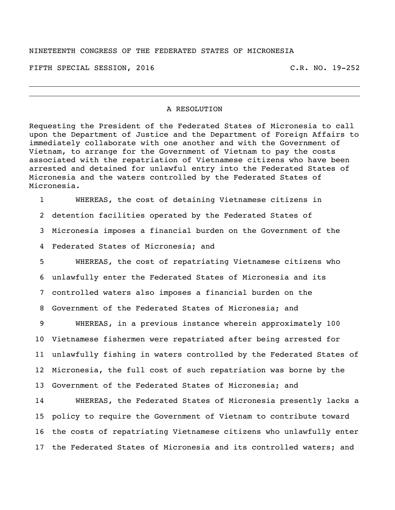FIFTH SPECIAL SESSION, 2016 C.R. NO. 19-252

## A RESOLUTION

Requesting the President of the Federated States of Micronesia to call upon the Department of Justice and the Department of Foreign Affairs to immediately collaborate with one another and with the Government of Vietnam, to arrange for the Government of Vietnam to pay the costs associated with the repatriation of Vietnamese citizens who have been arrested and detained for unlawful entry into the Federated States of Micronesia and the waters controlled by the Federated States of Micronesia.

WHEREAS, the cost of detaining Vietnamese citizens in

detention facilities operated by the Federated States of

Micronesia imposes a financial burden on the Government of the

Federated States of Micronesia; and

 WHEREAS, the cost of repatriating Vietnamese citizens who unlawfully enter the Federated States of Micronesia and its controlled waters also imposes a financial burden on the Government of the Federated States of Micronesia; and

 WHEREAS, in a previous instance wherein approximately 100 Vietnamese fishermen were repatriated after being arrested for unlawfully fishing in waters controlled by the Federated States of Micronesia, the full cost of such repatriation was borne by the Government of the Federated States of Micronesia; and

 WHEREAS, the Federated States of Micronesia presently lacks a policy to require the Government of Vietnam to contribute toward the costs of repatriating Vietnamese citizens who unlawfully enter the Federated States of Micronesia and its controlled waters; and